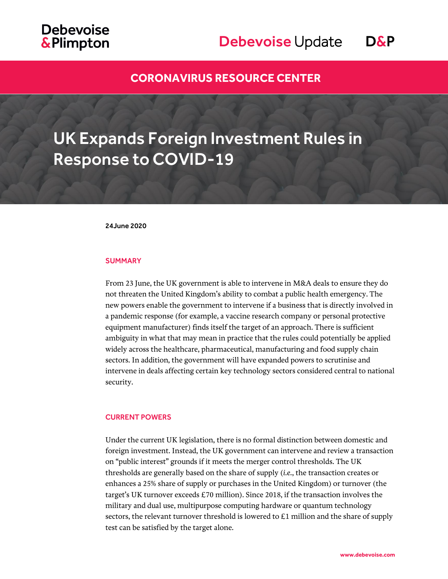## **Debevoise &Plimpton**

## Debevoise Update D&P

### **[CORONAVIRUS RESOURCE CENTER](https://www.debevoise.com/topics/covid19checklist)**

# UK Expands Foreign Investment Rules in Response to COVID-19

24June 2020

#### **SUMMARY**

From 23 June, the UK government is able to intervene in M&A deals to ensure they do not threaten the United Kingdom's ability to combat a public health emergency. The new powers enable the government to intervene if a business that is directly involved in a pandemic response (for example, a vaccine research company or personal protective equipment manufacturer) finds itself the target of an approach. There is sufficient ambiguity in what that may mean in practice that the rules could potentially be applied widely across the healthcare, pharmaceutical, manufacturing and food supply chain sectors. In addition, the government will have expanded powers to scrutinise and intervene in deals affecting certain key technology sectors considered central to national security.

#### CURRENT POWERS

Under the current UK legislation, there is no formal distinction between domestic and foreign investment. Instead, the UK government can intervene and review a transaction on "public interest" grounds if it meets the merger control thresholds. The UK thresholds are generally based on the share of supply (*i.e.*, the transaction creates or enhances a 25% share of supply or purchases in the United Kingdom) or turnover (the target's UK turnover exceeds £70 million). Since 2018, if the transaction involves the military and dual use, multipurpose computing hardware or quantum technology sectors, the relevant turnover threshold is lowered to  $E1$  million and the share of supply test can be satisfied by the target alone.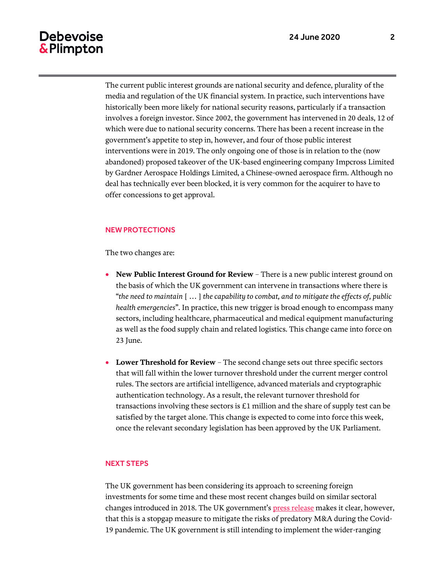### **Debevoise** & Plimpton

The current public interest grounds are national security and defence, plurality of the media and regulation of the UK financial system. In practice, such interventions have historically been more likely for national security reasons, particularly if a transaction involves a foreign investor. Since 2002, the government has intervened in 20 deals, 12 of which were due to national security concerns. There has been a recent increase in the government's appetite to step in, however, and four of those public interest interventions were in 2019. The only ongoing one of those is in relation to the (now abandoned) proposed takeover of the UK-based engineering company Impcross Limited by Gardner Aerospace Holdings Limited, a Chinese-owned aerospace firm. Although no deal has technically ever been blocked, it is very common for the acquirer to have to offer concessions to get approval.

### NEW PROTECTIONS

The two changes are:

- **New Public Interest Ground for Review** There is a new public interest ground on the basis of which the UK government can intervene in transactions where there is "*the need to maintain* [ … ] *the capability to combat, and to mitigate the effects of, public health emergencies*". In practice, this new trigger is broad enough to encompass many sectors, including healthcare, pharmaceutical and medical equipment manufacturing as well as the food supply chain and related logistics. This change came into force on 23 June.
- **Lower Threshold for Review** The second change sets out three specific sectors that will fall within the lower turnover threshold under the current merger control rules. The sectors are artificial intelligence, advanced materials and cryptographic authentication technology. As a result, the relevant turnover threshold for transactions involving these sectors is £1 million and the share of supply test can be satisfied by the target alone. This change is expected to come into force this week, once the relevant secondary legislation has been approved by the UK Parliament.

### NEXT STEPS

The UK government has been considering its approach to screening foreign investments for some time and these most recent changes build on similar sectoral changes introduced in 2018. The UK government's [press release](https://www.gov.uk/government/news/new-protections-for-uk-businesses-key-to-national-security-and-fight-against-coronavirus) makes it clear, however, that this is a stopgap measure to mitigate the risks of predatory M&A during the Covid-19 pandemic. The UK government is still intending to implement the wider-ranging